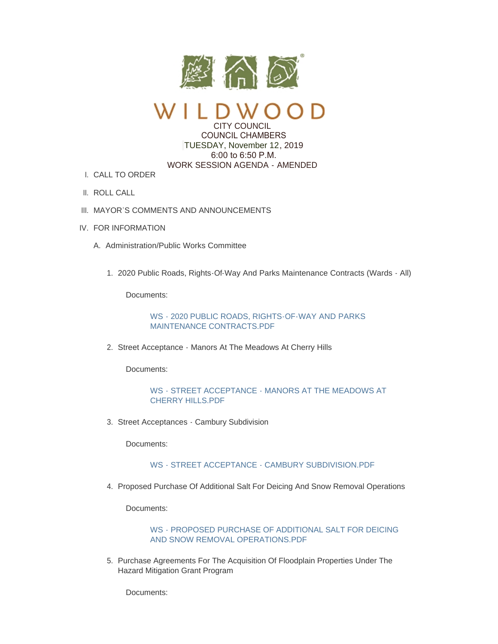

CITY COUNCIL

 COUNCIL CHAMBERS TUESDAY, November 12, 2019 6:00 to 6:50 P.M. WORK SESSION AGENDA - AMENDED

- CALL TO ORDER I.
- II. ROLL CALL
- III. MAYOR'S COMMENTS AND ANNOUNCEMENTS
- IV. FOR INFORMATION
	- A. Administration/Public Works Committee
		- 2020 Public Roads, Rights-Of-Way And Parks Maintenance Contracts (Wards All) 1.

Documents:

[WS - 2020 PUBLIC ROADS, RIGHTS-OF-WAY AND PARKS](https://www.cityofwildwood.com/AgendaCenter/ViewFile/Item/22894?fileID=28259)  MAINTENANCE CONTRACTS.PDF

2. Street Acceptance - Manors At The Meadows At Cherry Hills

Documents:

# [WS - STREET ACCEPTANCE - MANORS AT THE MEADOWS AT](https://www.cityofwildwood.com/AgendaCenter/ViewFile/Item/22886?fileID=28256)  CHERRY HILLS.PDF

3. Street Acceptances - Cambury Subdivision

Documents:

# [WS - STREET ACCEPTANCE - CAMBURY SUBDIVISION.PDF](https://www.cityofwildwood.com/AgendaCenter/ViewFile/Item/22887?fileID=28257)

4. Proposed Purchase Of Additional Salt For Deicing And Snow Removal Operations

Documents:

# [WS - PROPOSED PURCHASE OF ADDITIONAL SALT FOR DEICING](https://www.cityofwildwood.com/AgendaCenter/ViewFile/Item/22895?fileID=28260)  AND SNOW REMOVAL OPERATIONS.PDF

5. Purchase Agreements For The Acquisition Of Floodplain Properties Under The Hazard Mitigation Grant Program

Documents: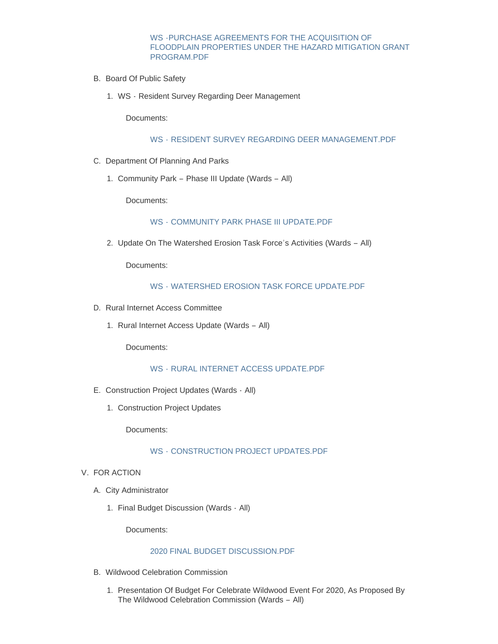WS -PURCHASE AGREEMENTS FOR THE ACQUISITION OF [FLOODPLAIN PROPERTIES UNDER THE HAZARD MITIGATION GRANT](https://www.cityofwildwood.com/AgendaCenter/ViewFile/Item/22888?fileID=28258)  PROGRAM.PDF

- B. Board Of Public Safety
	- WS Resident Survey Regarding Deer Management 1.

Documents:

#### WS - [RESIDENT SURVEY REGARDING DEER MANAGEMENT.PDF](https://www.cityofwildwood.com/AgendaCenter/ViewFile/Item/22826?fileID=28303)

- C. Department Of Planning And Parks
	- 1. Community Park Phase III Update (Wards All)

Documents:

#### WS - [COMMUNITY PARK PHASE III UPDATE.PDF](https://www.cityofwildwood.com/AgendaCenter/ViewFile/Item/22812?fileID=28212)

2. Update On The Watershed Erosion Task Force's Activities (Wards - All)

Documents:

# WS - [WATERSHED EROSION TASK FORCE UPDATE.PDF](https://www.cityofwildwood.com/AgendaCenter/ViewFile/Item/22813?fileID=28213)

- D. Rural Internet Access Committee
	- 1. Rural Internet Access Update (Wards All)

Documents:

## WS - [RURAL INTERNET ACCESS UPDATE.PDF](https://www.cityofwildwood.com/AgendaCenter/ViewFile/Item/22814?fileID=28214)

- E. Construction Project Updates (Wards All)
	- 1. Construction Project Updates

Documents:

#### WS - [CONSTRUCTION PROJECT UPDATES.PDF](https://www.cityofwildwood.com/AgendaCenter/ViewFile/Item/22908?fileID=28261)

- V. FOR ACTION
	- A. City Administrator
		- 1. Final Budget Discussion (Wards All)

Documents:

# [2020 FINAL BUDGET DISCUSSION.PDF](https://www.cityofwildwood.com/AgendaCenter/ViewFile/Item/22891?fileID=28299)

- B. Wildwood Celebration Commission
	- 1. Presentation Of Budget For Celebrate Wildwood Event For 2020, As Proposed By The Wildwood Celebration Commission (Wards – All)